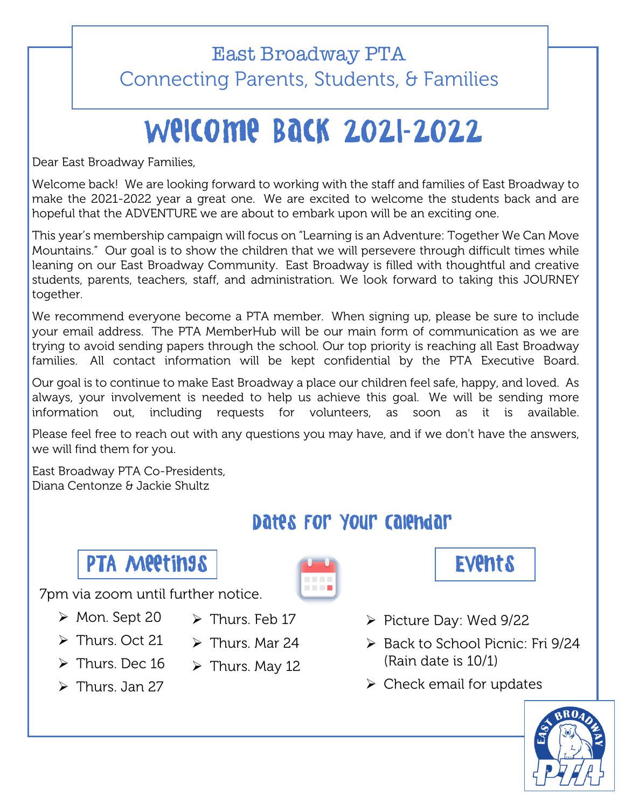### East Broadway PTA Connecting Parents, Students, & Families

# Welcome Back 2021**-**2022

Dear East Broadway Families,

Welcome back! We are looking forward to working with the staff and families of East Broadway to make the 2021-2022 year a great one. We are excited to welcome the students back and are hopeful that the ADVENTURE we are about to embark upon will be an exciting one.

This year's membership campaign will focus on "Learning is an Adventure: Together We Can Move Mountains." Our goal is to show the children that we will persevere through difficult times while leaning on our East Broadway Community. East Broadway is filled with thoughtful and creative students, parents, teachers, staff, and administration. We look forward to taking this JOURNEY together.

We recommend everyone become a PTA member. When signing up, please be sure to include your email address. The PTA MemberHub will be our main form of communication as we are trying to avoid sending papers through the school. Our top priority is reaching all East Broadway families. All contact information will be kept confidential by the PTA Executive Board.

Our goal is to continue to make East Broadway a place our children feel safe, happy, and loved. As always, your involvement is needed to help us achieve this goal. We will be sending more information out, including requests for volunteers, as soon as it is available.

Please feel free to reach out with any questions you may have, and if we don't have the answers, we will find them for you.

East Broadway PTA Co-Presidents, Diana Centonze & Jackie Shultz

### Dates For Your Calendar



7pm via zoom until further notice.

- Ø Mon. Sept 20
- $\triangleright$  Thurs. Feb 17
- $\triangleright$  Thurs. Oct 21
- 
- $\triangleright$  Thurs. Dec 16
- $\triangleright$  Thurs. Jan 27
- 
- 
- $\triangleright$  Thurs. Mar 24
- $\triangleright$  Thurs. May 12



- Ø Picture Day: Wed 9/22
- $\triangleright$  Back to School Picnic: Fri 9/24 (Rain date is 10/1)
- $\triangleright$  Check email for updates